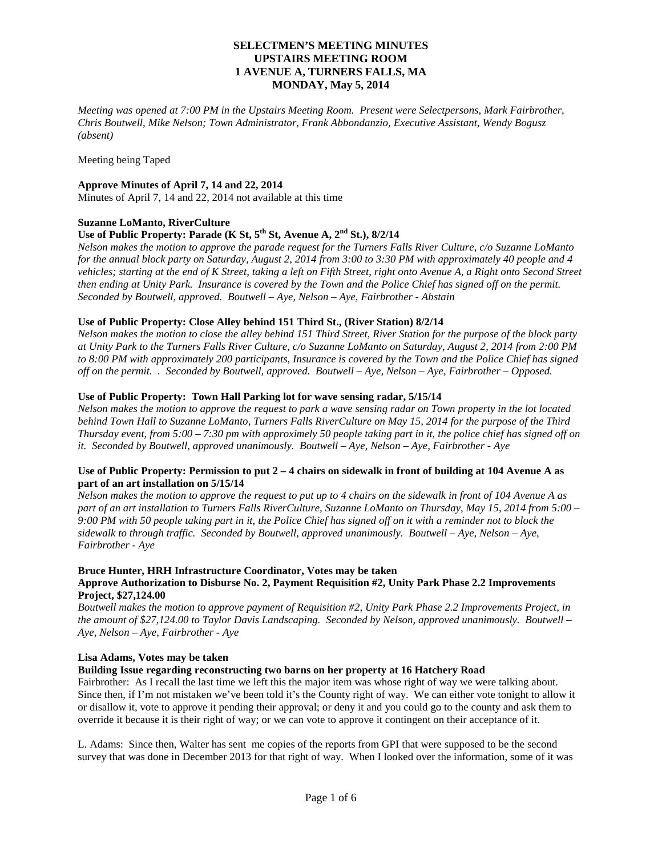*Meeting was opened at 7:00 PM in the Upstairs Meeting Room. Present were Selectpersons, Mark Fairbrother, Chris Boutwell, Mike Nelson; Town Administrator, Frank Abbondanzio, Executive Assistant, Wendy Bogusz (absent)*

Meeting being Taped

### **Approve Minutes of April 7, 14 and 22, 2014**

Minutes of April 7, 14 and 22, 2014 not available at this time

# **Suzanne LoManto, RiverCulture**

# **Use of Public Property: Parade (K St, 5th St, Avenue A, 2nd St.), 8/2/14**

*Nelson makes the motion to approve the parade request for the Turners Falls River Culture, c/o Suzanne LoManto for the annual block party on Saturday, August 2, 2014 from 3:00 to 3:30 PM with approximately 40 people and 4 vehicles; starting at the end of K Street, taking a left on Fifth Street, right onto Avenue A, a Right onto Second Street then ending at Unity Park. Insurance is covered by the Town and the Police Chief has signed off on the permit. Seconded by Boutwell, approved. Boutwell – Aye, Nelson – Aye, Fairbrother - Abstain*

### **Use of Public Property: Close Alley behind 151 Third St., (River Station) 8/2/14**

*Nelson makes the motion to close the alley behind 151 Third Street, River Station for the purpose of the block party at Unity Park to the Turners Falls River Culture, c/o Suzanne LoManto on Saturday, August 2, 2014 from 2:00 PM to 8:00 PM with approximately 200 participants, Insurance is covered by the Town and the Police Chief has signed off on the permit. . Seconded by Boutwell, approved. Boutwell – Aye, Nelson – Aye, Fairbrother – Opposed.*

### **Use of Public Property: Town Hall Parking lot for wave sensing radar, 5/15/14**

*Nelson makes the motion to approve the request to park a wave sensing radar on Town property in the lot located behind Town Hall to Suzanne LoManto, Turners Falls RiverCulture on May 15, 2014 for the purpose of the Third Thursday event, from 5:00 – 7:30 pm with approximely 50 people taking part in it, the police chief has signed off on it. Seconded by Boutwell, approved unanimously. Boutwell – Aye, Nelson – Aye, Fairbrother - Aye*

### **Use of Public Property: Permission to put 2 – 4 chairs on sidewalk in front of building at 104 Avenue A as part of an art installation on 5/15/14**

*Nelson makes the motion to approve the request to put up to 4 chairs on the sidewalk in front of 104 Avenue A as part of an art installation to Turners Falls RiverCulture, Suzanne LoManto on Thursday, May 15, 2014 from 5:00 – 9:00 PM with 50 people taking part in it, the Police Chief has signed off on it with a reminder not to block the sidewalk to through traffic. Seconded by Boutwell, approved unanimously. Boutwell – Aye, Nelson – Aye, Fairbrother - Aye*

# **Bruce Hunter, HRH Infrastructure Coordinator, Votes may be taken**

# **Approve Authorization to Disburse No. 2, Payment Requisition #2, Unity Park Phase 2.2 Improvements Project, \$27,124.00**

*Boutwell makes the motion to approve payment of Requisition #2, Unity Park Phase 2.2 Improvements Project, in the amount of \$27,124.00 to Taylor Davis Landscaping. Seconded by Nelson, approved unanimously. Boutwell – Aye, Nelson – Aye, Fairbrother - Aye*

#### **Lisa Adams, Votes may be taken**

# **Building Issue regarding reconstructing two barns on her property at 16 Hatchery Road**

Fairbrother: As I recall the last time we left this the major item was whose right of way we were talking about. Since then, if I'm not mistaken we've been told it's the County right of way. We can either vote tonight to allow it or disallow it, vote to approve it pending their approval; or deny it and you could go to the county and ask them to override it because it is their right of way; or we can vote to approve it contingent on their acceptance of it.

L. Adams: Since then, Walter has sent me copies of the reports from GPI that were supposed to be the second survey that was done in December 2013 for that right of way. When I looked over the information, some of it was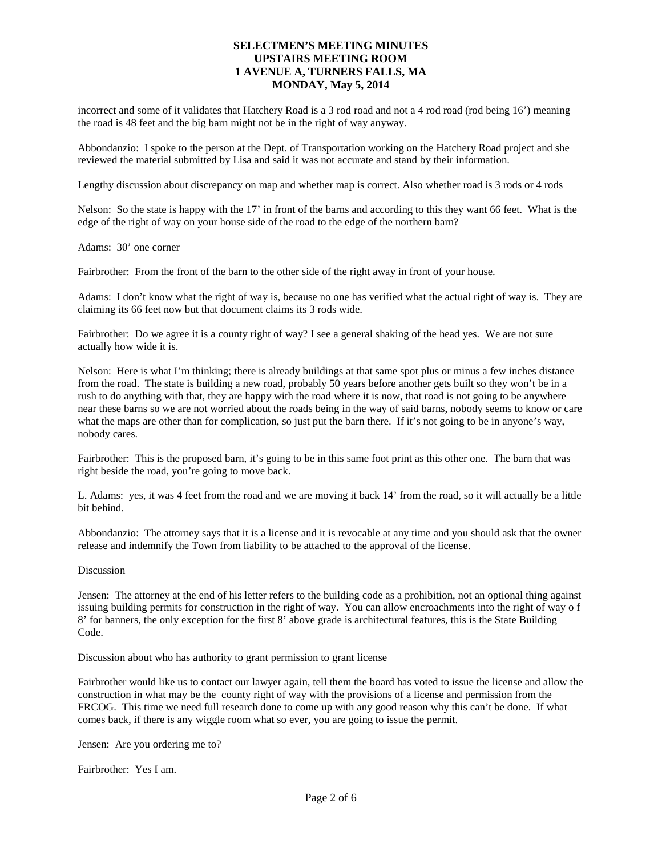incorrect and some of it validates that Hatchery Road is a 3 rod road and not a 4 rod road (rod being 16') meaning the road is 48 feet and the big barn might not be in the right of way anyway.

Abbondanzio: I spoke to the person at the Dept. of Transportation working on the Hatchery Road project and she reviewed the material submitted by Lisa and said it was not accurate and stand by their information.

Lengthy discussion about discrepancy on map and whether map is correct. Also whether road is 3 rods or 4 rods

Nelson: So the state is happy with the 17' in front of the barns and according to this they want 66 feet. What is the edge of the right of way on your house side of the road to the edge of the northern barn?

Adams: 30' one corner

Fairbrother: From the front of the barn to the other side of the right away in front of your house.

Adams: I don't know what the right of way is, because no one has verified what the actual right of way is. They are claiming its 66 feet now but that document claims its 3 rods wide.

Fairbrother: Do we agree it is a county right of way? I see a general shaking of the head yes. We are not sure actually how wide it is.

Nelson: Here is what I'm thinking; there is already buildings at that same spot plus or minus a few inches distance from the road. The state is building a new road, probably 50 years before another gets built so they won't be in a rush to do anything with that, they are happy with the road where it is now, that road is not going to be anywhere near these barns so we are not worried about the roads being in the way of said barns, nobody seems to know or care what the maps are other than for complication, so just put the barn there. If it's not going to be in anyone's way, nobody cares.

Fairbrother: This is the proposed barn, it's going to be in this same foot print as this other one. The barn that was right beside the road, you're going to move back.

L. Adams: yes, it was 4 feet from the road and we are moving it back 14' from the road, so it will actually be a little bit behind.

Abbondanzio: The attorney says that it is a license and it is revocable at any time and you should ask that the owner release and indemnify the Town from liability to be attached to the approval of the license.

#### Discussion

Jensen: The attorney at the end of his letter refers to the building code as a prohibition, not an optional thing against issuing building permits for construction in the right of way. You can allow encroachments into the right of way o f 8' for banners, the only exception for the first 8' above grade is architectural features, this is the State Building Code.

Discussion about who has authority to grant permission to grant license

Fairbrother would like us to contact our lawyer again, tell them the board has voted to issue the license and allow the construction in what may be the county right of way with the provisions of a license and permission from the FRCOG. This time we need full research done to come up with any good reason why this can't be done. If what comes back, if there is any wiggle room what so ever, you are going to issue the permit.

Jensen: Are you ordering me to?

Fairbrother: Yes I am.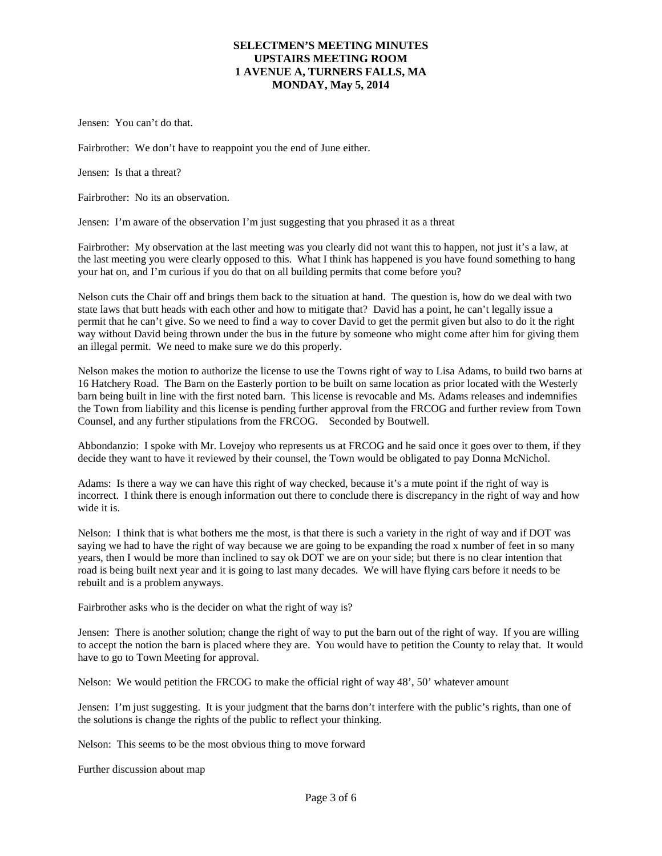Jensen: You can't do that.

Fairbrother: We don't have to reappoint you the end of June either.

Jensen: Is that a threat?

Fairbrother: No its an observation.

Jensen: I'm aware of the observation I'm just suggesting that you phrased it as a threat

Fairbrother: My observation at the last meeting was you clearly did not want this to happen, not just it's a law, at the last meeting you were clearly opposed to this. What I think has happened is you have found something to hang your hat on, and I'm curious if you do that on all building permits that come before you?

Nelson cuts the Chair off and brings them back to the situation at hand. The question is, how do we deal with two state laws that butt heads with each other and how to mitigate that? David has a point, he can't legally issue a permit that he can't give. So we need to find a way to cover David to get the permit given but also to do it the right way without David being thrown under the bus in the future by someone who might come after him for giving them an illegal permit. We need to make sure we do this properly.

Nelson makes the motion to authorize the license to use the Towns right of way to Lisa Adams, to build two barns at 16 Hatchery Road. The Barn on the Easterly portion to be built on same location as prior located with the Westerly barn being built in line with the first noted barn. This license is revocable and Ms. Adams releases and indemnifies the Town from liability and this license is pending further approval from the FRCOG and further review from Town Counsel, and any further stipulations from the FRCOG. Seconded by Boutwell.

Abbondanzio: I spoke with Mr. Lovejoy who represents us at FRCOG and he said once it goes over to them, if they decide they want to have it reviewed by their counsel, the Town would be obligated to pay Donna McNichol.

Adams: Is there a way we can have this right of way checked, because it's a mute point if the right of way is incorrect. I think there is enough information out there to conclude there is discrepancy in the right of way and how wide it is.

Nelson: I think that is what bothers me the most, is that there is such a variety in the right of way and if DOT was saying we had to have the right of way because we are going to be expanding the road x number of feet in so many years, then I would be more than inclined to say ok DOT we are on your side; but there is no clear intention that road is being built next year and it is going to last many decades. We will have flying cars before it needs to be rebuilt and is a problem anyways.

Fairbrother asks who is the decider on what the right of way is?

Jensen: There is another solution; change the right of way to put the barn out of the right of way. If you are willing to accept the notion the barn is placed where they are. You would have to petition the County to relay that. It would have to go to Town Meeting for approval.

Nelson: We would petition the FRCOG to make the official right of way 48', 50' whatever amount

Jensen: I'm just suggesting. It is your judgment that the barns don't interfere with the public's rights, than one of the solutions is change the rights of the public to reflect your thinking.

Nelson: This seems to be the most obvious thing to move forward

Further discussion about map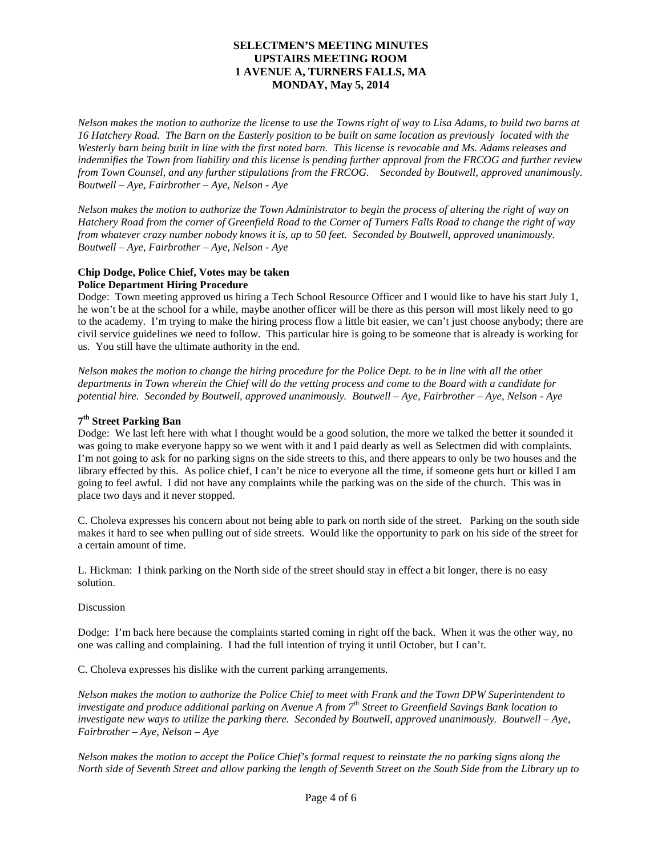*Nelson makes the motion to authorize the license to use the Towns right of way to Lisa Adams, to build two barns at 16 Hatchery Road. The Barn on the Easterly position to be built on same location as previously located with the Westerly barn being built in line with the first noted barn. This license is revocable and Ms. Adams releases and indemnifies the Town from liability and this license is pending further approval from the FRCOG and further review from Town Counsel, and any further stipulations from the FRCOG. Seconded by Boutwell, approved unanimously. Boutwell – Aye, Fairbrother – Aye, Nelson - Aye*

*Nelson makes the motion to authorize the Town Administrator to begin the process of altering the right of way on Hatchery Road from the corner of Greenfield Road to the Corner of Turners Falls Road to change the right of way from whatever crazy number nobody knows it is, up to 50 feet. Seconded by Boutwell, approved unanimously. Boutwell – Aye, Fairbrother – Aye, Nelson - Aye*

# **Chip Dodge, Police Chief, Votes may be taken**

# **Police Department Hiring Procedure**

Dodge: Town meeting approved us hiring a Tech School Resource Officer and I would like to have his start July 1, he won't be at the school for a while, maybe another officer will be there as this person will most likely need to go to the academy. I'm trying to make the hiring process flow a little bit easier, we can't just choose anybody; there are civil service guidelines we need to follow. This particular hire is going to be someone that is already is working for us. You still have the ultimate authority in the end.

*Nelson makes the motion to change the hiring procedure for the Police Dept. to be in line with all the other departments in Town wherein the Chief will do the vetting process and come to the Board with a candidate for potential hire. Seconded by Boutwell, approved unanimously. Boutwell – Aye, Fairbrother – Aye, Nelson - Aye*

# **7th Street Parking Ban**

Dodge: We last left here with what I thought would be a good solution, the more we talked the better it sounded it was going to make everyone happy so we went with it and I paid dearly as well as Selectmen did with complaints. I'm not going to ask for no parking signs on the side streets to this, and there appears to only be two houses and the library effected by this. As police chief, I can't be nice to everyone all the time, if someone gets hurt or killed I am going to feel awful. I did not have any complaints while the parking was on the side of the church. This was in place two days and it never stopped.

C. Choleva expresses his concern about not being able to park on north side of the street. Parking on the south side makes it hard to see when pulling out of side streets. Would like the opportunity to park on his side of the street for a certain amount of time.

L. Hickman: I think parking on the North side of the street should stay in effect a bit longer, there is no easy solution.

# Discussion

Dodge: I'm back here because the complaints started coming in right off the back. When it was the other way, no one was calling and complaining. I had the full intention of trying it until October, but I can't.

C. Choleva expresses his dislike with the current parking arrangements.

*Nelson makes the motion to authorize the Police Chief to meet with Frank and the Town DPW Superintendent to investigate and produce additional parking on Avenue A from 7th Street to Greenfield Savings Bank location to investigate new ways to utilize the parking there. Seconded by Boutwell, approved unanimously. Boutwell – Aye, Fairbrother – Aye, Nelson – Aye*

*Nelson makes the motion to accept the Police Chief's formal request to reinstate the no parking signs along the North side of Seventh Street and allow parking the length of Seventh Street on the South Side from the Library up to*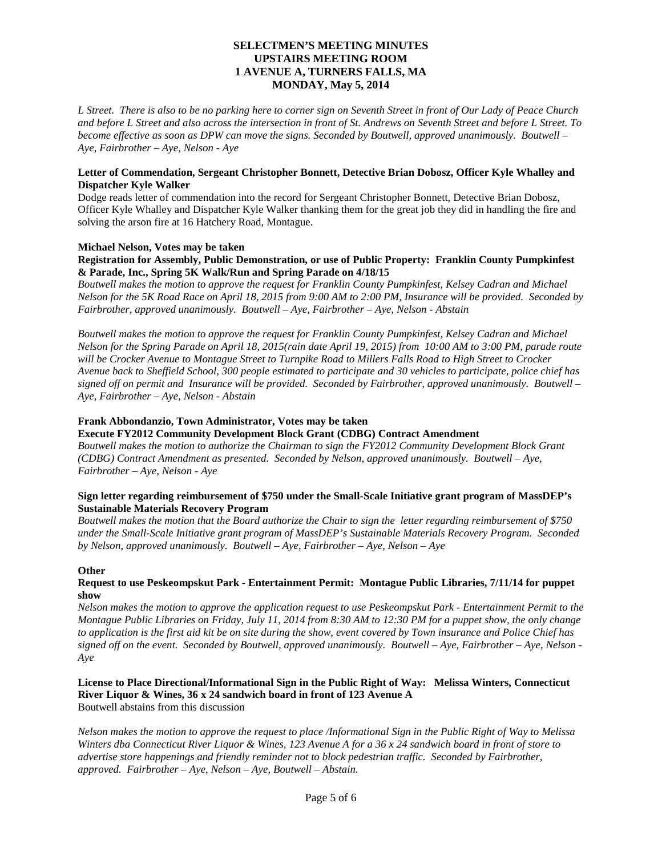*L Street. There is also to be no parking here to corner sign on Seventh Street in front of Our Lady of Peace Church and before L Street and also across the intersection in front of St. Andrews on Seventh Street and before L Street. To become effective as soon as DPW can move the signs. Seconded by Boutwell, approved unanimously. Boutwell – Aye, Fairbrother – Aye, Nelson - Aye*

# **Letter of Commendation, Sergeant Christopher Bonnett, Detective Brian Dobosz, Officer Kyle Whalley and Dispatcher Kyle Walker**

Dodge reads letter of commendation into the record for Sergeant Christopher Bonnett, Detective Brian Dobosz, Officer Kyle Whalley and Dispatcher Kyle Walker thanking them for the great job they did in handling the fire and solving the arson fire at 16 Hatchery Road, Montague.

# **Michael Nelson, Votes may be taken**

### **Registration for Assembly, Public Demonstration, or use of Public Property: Franklin County Pumpkinfest & Parade, Inc., Spring 5K Walk/Run and Spring Parade on 4/18/15**

*Boutwell makes the motion to approve the request for Franklin County Pumpkinfest, Kelsey Cadran and Michael Nelson for the 5K Road Race on April 18, 2015 from 9:00 AM to 2:00 PM, Insurance will be provided. Seconded by Fairbrother, approved unanimously. Boutwell – Aye, Fairbrother – Aye, Nelson - Abstain*

*Boutwell makes the motion to approve the request for Franklin County Pumpkinfest, Kelsey Cadran and Michael Nelson for the Spring Parade on April 18, 2015(rain date April 19, 2015) from 10:00 AM to 3:00 PM, parade route will be Crocker Avenue to Montague Street to Turnpike Road to Millers Falls Road to High Street to Crocker Avenue back to Sheffield School, 300 people estimated to participate and 30 vehicles to participate, police chief has signed off on permit and Insurance will be provided. Seconded by Fairbrother, approved unanimously. Boutwell – Aye, Fairbrother – Aye, Nelson - Abstain*

### **Frank Abbondanzio, Town Administrator, Votes may be taken**

# **Execute FY2012 Community Development Block Grant (CDBG) Contract Amendment**

*Boutwell makes the motion to authorize the Chairman to sign the FY2012 Community Development Block Grant (CDBG) Contract Amendment as presented. Seconded by Nelson, approved unanimously. Boutwell – Aye, Fairbrother – Aye, Nelson - Aye*

### **Sign letter regarding reimbursement of \$750 under the Small-Scale Initiative grant program of MassDEP's Sustainable Materials Recovery Program**

*Boutwell makes the motion that the Board authorize the Chair to sign the letter regarding reimbursement of \$750 under the Small-Scale Initiative grant program of MassDEP's Sustainable Materials Recovery Program. Seconded by Nelson, approved unanimously. Boutwell – Aye, Fairbrother – Aye, Nelson – Aye*

#### **Other**

### **Request to use Peskeompskut Park - Entertainment Permit: Montague Public Libraries, 7/11/14 for puppet show**

*Nelson makes the motion to approve the application request to use Peskeompskut Park - Entertainment Permit to the Montague Public Libraries on Friday, July 11, 2014 from 8:30 AM to 12:30 PM for a puppet show, the only change to application is the first aid kit be on site during the show, event covered by Town insurance and Police Chief has signed off on the event. Seconded by Boutwell, approved unanimously. Boutwell – Aye, Fairbrother – Aye, Nelson - Aye*

#### **License to Place Directional/Informational Sign in the Public Right of Way: Melissa Winters, Connecticut River Liquor & Wines, 36 x 24 sandwich board in front of 123 Avenue A** Boutwell abstains from this discussion

*Nelson makes the motion to approve the request to place /Informational Sign in the Public Right of Way to Melissa Winters dba Connecticut River Liquor & Wines, 123 Avenue A for a 36 x 24 sandwich board in front of store to advertise store happenings and friendly reminder not to block pedestrian traffic. Seconded by Fairbrother, approved. Fairbrother – Aye, Nelson – Aye, Boutwell – Abstain.*